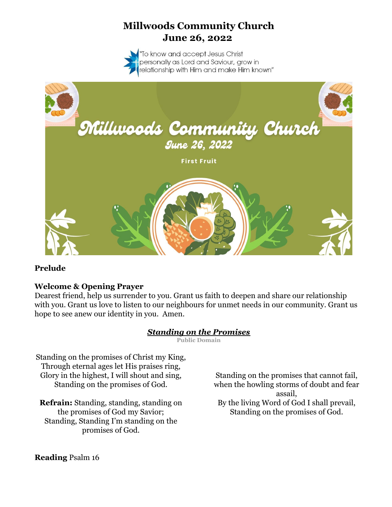# **Millwoods Community Church June 26, 2022**



### **Prelude**

### **Welcome & Opening Prayer**

Dearest friend, help us surrender to you. Grant us faith to deepen and share our relationship with you. Grant us love to listen to our neighbours for unmet needs in our community. Grant us hope to see anew our identity in you. Amen.

### *Standing on the Promises*

**Public Domain**

Standing on the promises of Christ my King, Through eternal ages let His praises ring, Glory in the highest, I will shout and sing, Standing on the promises of God.

**Refrain:** Standing, standing, standing on the promises of God my Savior; Standing, Standing I'm standing on the promises of God.

Standing on the promises that cannot fail, when the howling storms of doubt and fear assail, By the living Word of God I shall prevail, Standing on the promises of God.

#### **Reading** Psalm 16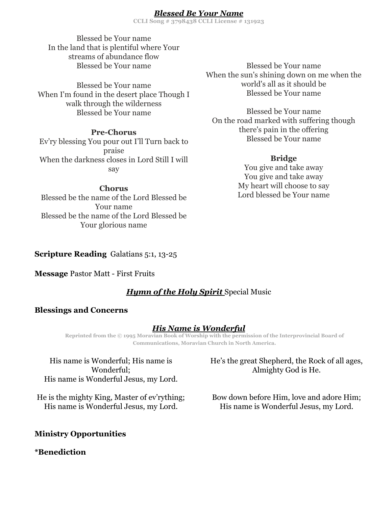### *Blessed Be Your Name*

**CCLI Song # 3798438 CCLI License # 131923**

Blessed be Your name In the land that is plentiful where Your streams of abundance flow Blessed be Your name

Blessed be Your name When I'm found in the desert place Though I walk through the wilderness Blessed be Your name

#### **Pre-Chorus**

Ev'ry blessing You pour out I'll Turn back to praise When the darkness closes in Lord Still I will say

#### **Chorus**

Blessed be the name of the Lord Blessed be Your name Blessed be the name of the Lord Blessed be Your glorious name

Blessed be Your name When the sun's shining down on me when the world's all as it should be Blessed be Your name

Blessed be Your name On the road marked with suffering though there's pain in the offering Blessed be Your name

#### **Bridge**

You give and take away You give and take away My heart will choose to say Lord blessed be Your name

#### **Scripture Reading** Galatians 5:1, 13-25

**Message** Pastor Matt - First Fruits

### *Hymn of the Holy Spirit* Special Music

#### **Blessings and Concerns**

#### *His Name is Wonderful*

**Reprinted from the © 1995 Moravian Book of Worship with the permission of the Interprovincial Board of Communications, Moravian Church in North America.**

His name is Wonderful; His name is Wonderful; His name is Wonderful Jesus, my Lord.

He is the mighty King, Master of ev'rything; His name is Wonderful Jesus, my Lord.

### **Ministry Opportunities**

#### **\*Benediction**

He's the great Shepherd, the Rock of all ages, Almighty God is He.

Bow down before Him, love and adore Him; His name is Wonderful Jesus, my Lord.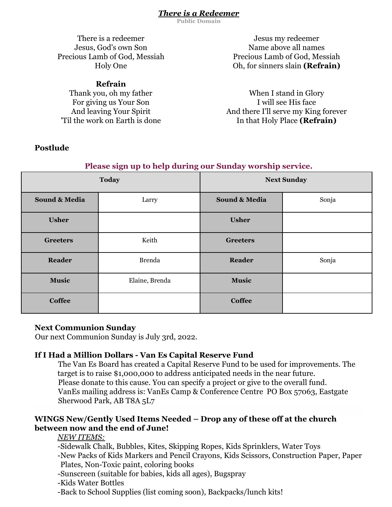### *There is a Redeemer*

**Public Domain**

There is a redeemer Jesus, God's own Son Precious Lamb of God, Messiah Holy One

### **Refrain**

Thank you, oh my father For giving us Your Son And leaving Your Spirit 'Til the work on Earth is done

### **Postlude**

Jesus my redeemer Name above all names Precious Lamb of God, Messiah Oh, for sinners slain **(Refrain)**

When I stand in Glory I will see His face And there I'll serve my King forever In that Holy Place **(Refrain)**

| $\tilde{\phantom{a}}$<br><b>Today</b> |                | <b>Next Sunday</b> |       |
|---------------------------------------|----------------|--------------------|-------|
| <b>Sound &amp; Media</b>              | Larry          | Sound & Media      | Sonja |
| <b>Usher</b>                          |                | <b>Usher</b>       |       |
| <b>Greeters</b>                       | Keith          | <b>Greeters</b>    |       |
| Reader                                | <b>Brenda</b>  | <b>Reader</b>      | Sonja |
| <b>Music</b>                          | Elaine, Brenda | <b>Music</b>       |       |
| <b>Coffee</b>                         |                | <b>Coffee</b>      |       |

# **Please sign up to help during our Sunday worship service.**

#### **Next Communion Sunday**

Our next Communion Sunday is July 3rd, 2022.

### **If I Had a Million Dollars - Van Es Capital Reserve Fund**

The Van Es Board has created a Capital Reserve Fund to be used for improvements. The target is to raise \$1,000,000 to address anticipated needs in the near future. Please donate to this cause. You can specify a project or give to the overall fund. VanEs mailing address is: VanEs Camp & Conference Centre PO Box 57063, Eastgate Sherwood Park, AB T8A 5L7

### **WINGS New/Gently Used Items Needed – Drop any of these off at the church between now and the end of June!**

### *NEW ITEMS:*

-Sidewalk Chalk, Bubbles, Kites, Skipping Ropes, Kids Sprinklers, Water Toys -New Packs of Kids Markers and Pencil Crayons, Kids Scissors, Construction Paper, Paper Plates, Non-Toxic paint, coloring books

-Sunscreen (suitable for babies, kids all ages), Bugspray

-Kids Water Bottles

-Back to School Supplies (list coming soon), Backpacks/lunch kits!